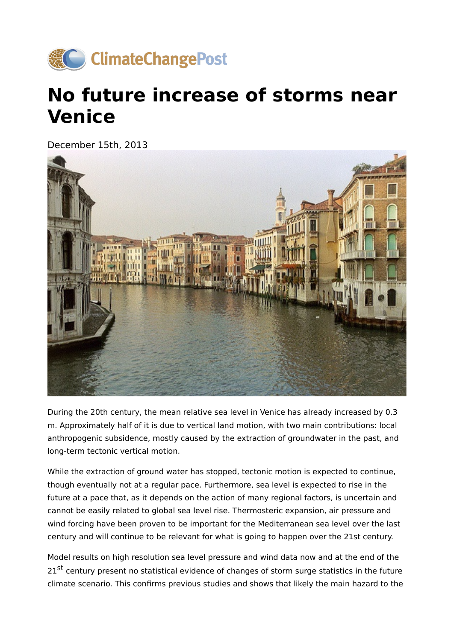

## **No future increase of storms near Venice**

December 15th, 2013



During the 20th century, the mean relative sea level in Venice has already increased by 0.3 m. Approximately half of it is due to vertical land motion, with two main contributions: local anthropogenic subsidence, mostly caused by the extraction of groundwater in the past, and long-term tectonic vertical motion.

While the extraction of ground water has stopped, tectonic motion is expected to continue, though eventually not at a regular pace. Furthermore, sea level is expected to rise in the future at a pace that, as it depends on the action of many regional factors, is uncertain and cannot be easily related to global sea level rise. Thermosteric expansion, air pressure and wind forcing have been proven to be important for the Mediterranean sea level over the last century and will continue to be relevant for what is going to happen over the 21st century.

Model results on high resolution sea level pressure and wind data now and at the end of the 21<sup>st</sup> century present no statistical evidence of changes of storm surge statistics in the future climate scenario. This confirms previous studies and shows that likely the main hazard to the